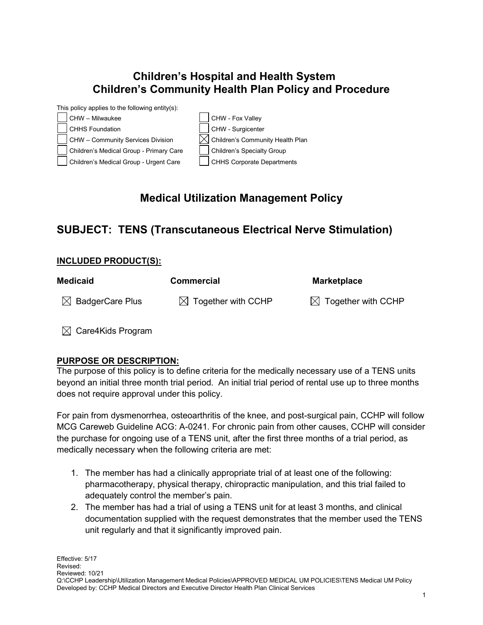# **Children's Hospital and Health System Children's Community Health Plan Policy and Procedure**



# **Medical Utilization Management Policy**

## **SUBJECT: TENS (Transcutaneous Electrical Nerve Stimulation)**

#### **INCLUDED PRODUCT(S):**

| <b>Medicaid</b>             | <b>Commercial</b>              | <b>Marketplace</b>             |
|-----------------------------|--------------------------------|--------------------------------|
| $\boxtimes$ BadgerCare Plus | $\boxtimes$ Together with CCHP | $\boxtimes$ Together with CCHP |

 $\boxtimes$  Care4Kids Program

## **PURPOSE OR DESCRIPTION:**

The purpose of this policy is to define criteria for the medically necessary use of a TENS units beyond an initial three month trial period. An initial trial period of rental use up to three months does not require approval under this policy.

For pain from dysmenorrhea, osteoarthritis of the knee, and post-surgical pain, CCHP will follow MCG Careweb Guideline ACG: A-0241. For chronic pain from other causes, CCHP will consider the purchase for ongoing use of a TENS unit, after the first three months of a trial period, as medically necessary when the following criteria are met:

- 1. The member has had a clinically appropriate trial of at least one of the following: pharmacotherapy, physical therapy, chiropractic manipulation, and this trial failed to adequately control the member's pain.
- 2. The member has had a trial of using a TENS unit for at least 3 months, and clinical documentation supplied with the request demonstrates that the member used the TENS unit regularly and that it significantly improved pain.